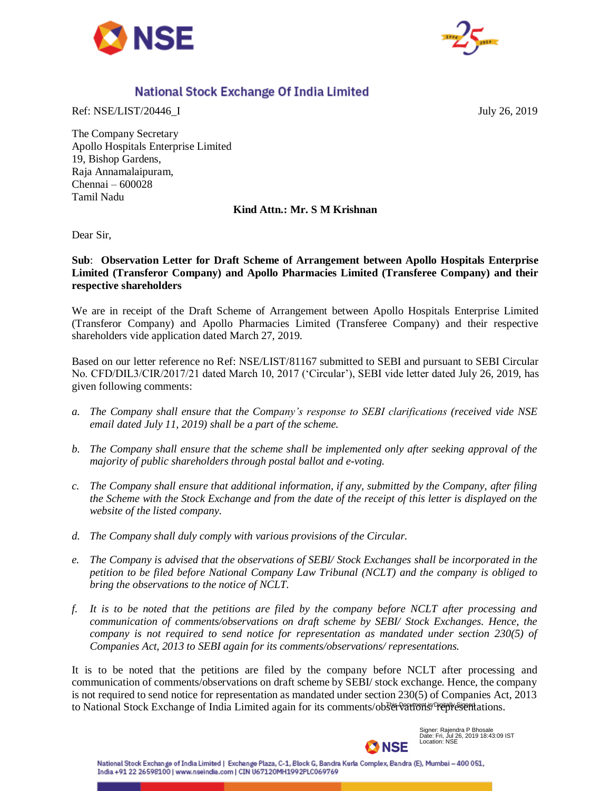



## National Stock Exchange Of India Limited

Ref: NSE/LIST/20446 I July 26, 2019

The Company Secretary Apollo Hospitals Enterprise Limited 19, Bishop Gardens, Raja Annamalaipuram, Chennai – 600028 Tamil Nadu

## **Kind Attn.: Mr. S M Krishnan**

Dear Sir,

## **Sub**: **Observation Letter for Draft Scheme of Arrangement between Apollo Hospitals Enterprise Limited (Transferor Company) and Apollo Pharmacies Limited (Transferee Company) and their respective shareholders**

We are in receipt of the Draft Scheme of Arrangement between Apollo Hospitals Enterprise Limited (Transferor Company) and Apollo Pharmacies Limited (Transferee Company) and their respective shareholders vide application dated March 27, 2019.

Based on our letter reference no Ref: NSE/LIST/81167 submitted to SEBI and pursuant to SEBI Circular No. CFD/DIL3/CIR/2017/21 dated March 10, 2017 ('Circular'), SEBI vide letter dated July 26, 2019, has given following comments:

- *a. The Company shall ensure that the Company's response to SEBI clarifications (received vide NSE email dated July 11, 2019) shall be a part of the scheme.*
- *b. The Company shall ensure that the scheme shall be implemented only after seeking approval of the majority of public shareholders through postal ballot and e-voting.*
- *c. The Company shall ensure that additional information, if any, submitted by the Company, after filing the Scheme with the Stock Exchange and from the date of the receipt of this letter is displayed on the website of the listed company.*
- *d. The Company shall duly comply with various provisions of the Circular.*
- *e. The Company is advised that the observations of SEBI/ Stock Exchanges shall be incorporated in the petition to be filed before National Company Law Tribunal (NCLT) and the company is obliged to bring the observations to the notice of NCLT.*
- *f. It is to be noted that the petitions are filed by the company before NCLT after processing and communication of comments/observations on draft scheme by SEBI/ Stock Exchanges. Hence, the company is not required to send notice for representation as mandated under section 230(5) of Companies Act, 2013 to SEBI again for its comments/observations/ representations.*

It is to be noted that the petitions are filed by the company before NCLT after processing and communication of comments/observations on draft scheme by SEBI/ stock exchange. Hence, the company is not required to send notice for representation as mandated under section 230(5) of Companies Act, 2013 to National Stock Exchange of India Limited again for its comments/observations/ Prepresentations.



Signer: Rajendra P Bhosale Date: Fri, Jul 26, 2019 18:43:09 IST Location: NSE